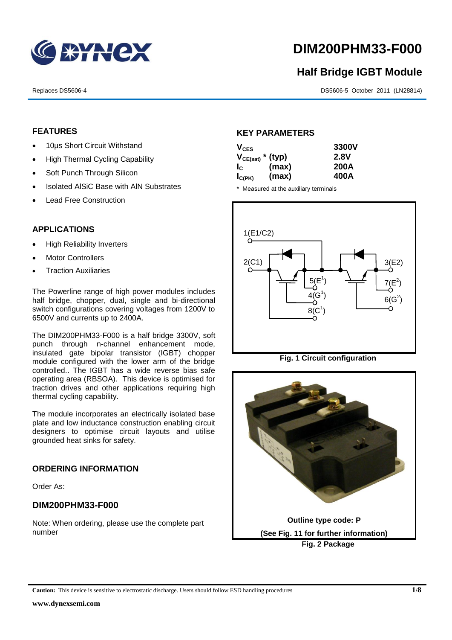

# **DIM200PHM33-F000**

# **Half Bridge IGBT Module**

Replaces DS5606-4 DS5606-4 DS5606-5 October 2011 (LN28814)

# **FEATURES**

- 10us Short Circuit Withstand
- High Thermal Cycling Capability
- Soft Punch Through Silicon
- Isolated AISiC Base with AIN Substrates
- Lead Free Construction

# **APPLICATIONS**

- High Reliability Inverters
- Motor Controllers
- Traction Auxiliaries

The Powerline range of high power modules includes half bridge, chopper, dual, single and bi-directional switch configurations covering voltages from 1200V to 6500V and currents up to 2400A.

The DIM200PHM33-F000 is a half bridge 3300V, soft punch through n-channel enhancement mode, insulated gate bipolar transistor (IGBT) chopper module configured with the lower arm of the bridge controlled.. The IGBT has a wide reverse bias safe operating area (RBSOA). This device is optimised for traction drives and other applications requiring high thermal cycling capability.

The module incorporates an electrically isolated base plate and low inductance construction enabling circuit designers to optimise circuit layouts and utilise grounded heat sinks for safety.

# **ORDERING INFORMATION**

Order As:

# **DIM200PHM33-F000**

Note: When ordering, please use the complete part number

# **KEY PARAMETERS**

| $V_{CES}$             |       | 3300V |
|-----------------------|-------|-------|
| $V_{CE(sat)}$ * (typ) |       | 2.8V  |
| $I_{\rm C}$           | (max) | 200A  |
| $I_{C(PK)}$           | (max) | 400A  |

\* Measured at the auxiliary terminals



**Fig. 1 Circuit configuration**

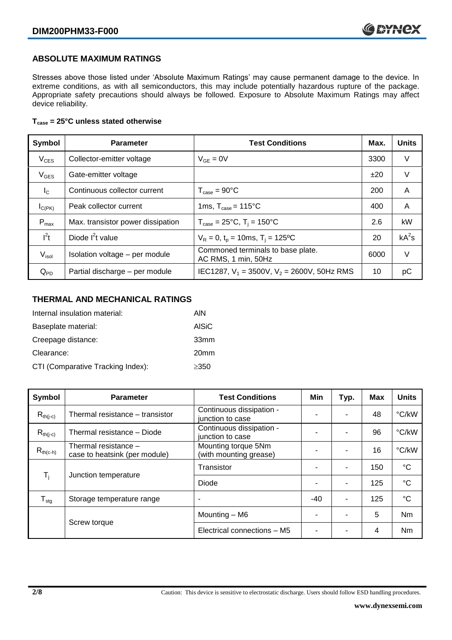# **ABSOLUTE MAXIMUM RATINGS**

Stresses above those listed under 'Absolute Maximum Ratings' may cause permanent damage to the device. In extreme conditions, as with all semiconductors, this may include potentially hazardous rupture of the package. Appropriate safety precautions should always be followed. Exposure to Absolute Maximum Ratings may affect device reliability.

### **Tcase = 25°C unless stated otherwise**

| Symbol            | <b>Parameter</b>                  | <b>Test Conditions</b>                                   |      | <b>Units</b> |
|-------------------|-----------------------------------|----------------------------------------------------------|------|--------------|
| $V_{CES}$         | Collector-emitter voltage         | $V_{GE} = 0V$                                            | 3300 | V            |
| $V_{GES}$         | Gate-emitter voltage              |                                                          | ±20  | V            |
| $I_{\rm C}$       | Continuous collector current      | $T_{\text{case}} = 90^{\circ}$ C                         | 200  | A            |
| $I_{C(PK)}$       | Peak collector current            | 1ms, $T_{\text{case}} = 115^{\circ}$ C                   | 400  | A            |
| $P_{\text{max}}$  | Max. transistor power dissipation | $T_{\text{case}} = 25^{\circ}C$ , $T_i = 150^{\circ}C$   | 2.6  | kW           |
| $l^2t$            | Diode $I2t$ value                 | $V_R = 0$ , $t_p = 10$ ms, $T_i = 125$ °C                | 20   | $kA^2s$      |
| V <sub>isol</sub> | Isolation voltage - per module    | Commoned terminals to base plate.<br>AC RMS, 1 min, 50Hz | 6000 | V            |
| $Q_{PD}$          | Partial discharge - per module    | IEC1287, $V_1$ = 3500V, $V_2$ = 2600V, 50Hz RMS          | 10   | рC           |

# **THERMAL AND MECHANICAL RATINGS**

| Internal insulation material:     | AIN              |
|-----------------------------------|------------------|
| Baseplate material:               | <b>AISiC</b>     |
| Creepage distance:                | 33mm             |
| Clearance:                        | 20 <sub>mm</sub> |
| CTI (Comparative Tracking Index): | $\geq$ 350       |

| Symbol                     | <b>Parameter</b>                                      | <b>Test Conditions</b>                        | Min   | Typ. | <b>Max</b> | <b>Units</b>    |
|----------------------------|-------------------------------------------------------|-----------------------------------------------|-------|------|------------|-----------------|
| $R_{th(j-c)}$              | Thermal resistance - transistor                       | Continuous dissipation -<br>junction to case  |       |      | 48         | °C/kW           |
| $R_{th(j-c)}$              | Thermal resistance - Diode                            | Continuous dissipation -<br>junction to case  |       | ۰    | 96         | °C/kW           |
| $R_{th(c-h)}$              | Thermal resistance -<br>case to heatsink (per module) | Mounting torque 5Nm<br>(with mounting grease) |       | -    | 16         | °C/kW           |
| $T_i$                      | Junction temperature                                  | Transistor                                    |       | ۰    | 150        | $\rm ^{\circ}C$ |
|                            |                                                       | Diode                                         |       | ۰    | 125        | $^{\circ}C$     |
| ${\mathsf T}_{\text{stg}}$ | Storage temperature range                             | ٠                                             | $-40$ | ۰    | 125        | $\rm ^{\circ}C$ |
|                            |                                                       | Mounting - M6                                 | -     | ۰    | 5          | Nm              |
|                            | Screw torque                                          | Electrical connections - M5                   |       |      | 4          | Nm              |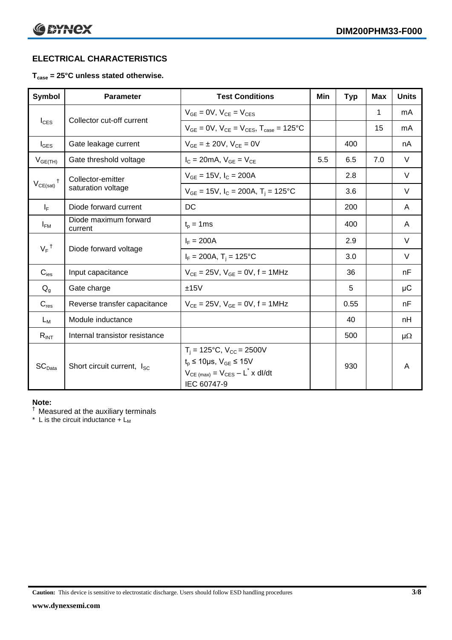# **ELECTRICAL CHARACTERISTICS**

# **Tcase = 25°C unless stated otherwise.**

| <b>Symbol</b>      | <b>Parameter</b>                       | <b>Test Conditions</b><br>Min                                                                                                                                   |     | <b>Typ</b> | Max | <b>Units</b> |
|--------------------|----------------------------------------|-----------------------------------------------------------------------------------------------------------------------------------------------------------------|-----|------------|-----|--------------|
|                    |                                        | $V_{GF} = 0V$ , $V_{CE} = V_{CES}$                                                                                                                              |     |            | 1   | mA           |
| $I_{\text{CES}}$   | Collector cut-off current              | $V_{CF} = 0V$ , $V_{CF} = V_{CES}$ , $T_{case} = 125^{\circ}C$                                                                                                  |     |            | 15  | mA           |
| $I_{\text{GES}}$   | Gate leakage current                   | $V_{GE} = \pm 20 V$ , $V_{CE} = 0V$                                                                                                                             |     | 400        |     | nA           |
| $V_{GE(TH)}$       | Gate threshold voltage                 | $I_c = 20mA$ , $V_{GE} = V_{CE}$                                                                                                                                | 5.5 | 6.5        | 7.0 | $\vee$       |
| Ť                  | Collector-emitter                      | $V_{GE}$ = 15V, $I_C$ = 200A                                                                                                                                    |     | 2.8        |     | $\vee$       |
| $V_{CE(sat)}$      | saturation voltage                     | $V_{GE}$ = 15V, $I_C$ = 200A, $T_i$ = 125°C                                                                                                                     |     | 3.6        |     | $\vee$       |
| $I_F$              | Diode forward current                  | DC                                                                                                                                                              |     | 200        |     | A            |
| $I_{FM}$           | Diode maximum forward<br>current       | $t_p = 1$ ms                                                                                                                                                    |     | 400        |     | A            |
|                    |                                        | $I_F = 200A$                                                                                                                                                    |     | 2.9        |     | $\vee$       |
| $V_F$ <sup>†</sup> | Diode forward voltage                  | $I_F = 200A$ , $T_i = 125^{\circ}C$                                                                                                                             |     | 3.0        |     | V            |
| $C_{\text{ies}}$   | Input capacitance                      | $V_{CE} = 25V$ , $V_{GE} = 0V$ , f = 1MHz                                                                                                                       |     | 36         |     | nF           |
| $Q_{q}$            | Gate charge                            | ±15V                                                                                                                                                            |     | 5          |     | μC           |
| $C_{res}$          | Reverse transfer capacitance           | $V_{CE} = 25V$ , $V_{GE} = 0V$ , f = 1MHz                                                                                                                       |     | 0.55       |     | nF           |
| $L_M$              | Module inductance                      |                                                                                                                                                                 |     | 40         |     | nH           |
| $R_{INT}$          | Internal transistor resistance         |                                                                                                                                                                 |     | 500        |     | $\mu\Omega$  |
| SC <sub>Data</sub> | Short circuit current, I <sub>SC</sub> | $T_i = 125$ °C, $V_{CC} = 2500V$<br>$t_p \le 10 \mu s$ , $V_{GE} \le 15 V$<br>$V_{CE \text{ (max)}} = V_{CES} - L^{\dagger} \times \text{dI/dt}$<br>IEC 60747-9 |     | 930        |     | A            |

#### **Note:**

† Measured at the auxiliary terminals

\* L is the circuit inductance  $+$  L<sub>M</sub>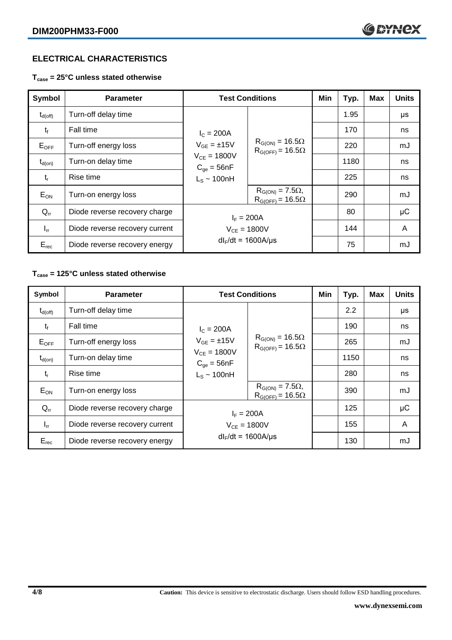# **ELECTRICAL CHARACTERISTICS**

**Tcase = 25°C unless stated otherwise**

| <b>Symbol</b>    | <b>Parameter</b>               | <b>Test Conditions</b>              |                                                        | Min | Typ. | <b>Max</b> | <b>Units</b> |
|------------------|--------------------------------|-------------------------------------|--------------------------------------------------------|-----|------|------------|--------------|
| $\rm t_{d(off)}$ | Turn-off delay time            |                                     | $R_{G(ON)} = 16.5\Omega$<br>$R_{G(OFF)} = 16.5\Omega$  |     | 1.95 |            | μs           |
| $t_{\rm f}$      | <b>Fall time</b>               | $I_c = 200A$<br>$V_{GE} = \pm 15V$  |                                                        |     | 170  |            | ns           |
| $E_{OFF}$        | Turn-off energy loss           |                                     |                                                        |     | 220  |            | mJ           |
| $t_{d(on)}$      | Turn-on delay time             | $V_{CE} = 1800V$<br>$C_{qe} = 56nF$ |                                                        |     | 1180 |            | ns           |
| $t_{r}$          | Rise time                      | $L_S \sim 100nH$                    |                                                        |     | 225  |            | ns           |
| $E_{ON}$         | Turn-on energy loss            |                                     | $R_{G(ON)} = 7.5\Omega$ ,<br>$R_{G(OFF)} = 16.5\Omega$ |     | 290  |            | mJ           |
| $Q_{rr}$         | Diode reverse recovery charge  | $I_F = 200A$                        |                                                        |     | 80   |            | $\mu$ C      |
| $I_{rr}$         | Diode reverse recovery current |                                     | $V_{CE} = 1800V$                                       |     | 144  |            | A            |
| $E_{rec}$        | Diode reverse recovery energy  | $dl_F/dt = 1600A/\mu s$             |                                                        |     | 75   |            | mJ           |

# **Tcase = 125°C unless stated otherwise**

| Symbol              | <b>Parameter</b>               |                                     | <b>Test Conditions</b>                                 | Min | Typ. | <b>Max</b> | <b>Units</b> |
|---------------------|--------------------------------|-------------------------------------|--------------------------------------------------------|-----|------|------------|--------------|
| $t_{d(\text{off})}$ | Turn-off delay time            |                                     |                                                        |     | 2.2  |            | μs           |
| $t_{\rm f}$         | Fall time                      | $I_c = 200A$<br>$V_{GF} = \pm 15V$  | $R_{G(ON)} = 16.5\Omega$<br>$R_{G(OFF)} = 16.5\Omega$  |     | 190  |            | ns           |
| $E_{OFF}$           | Turn-off energy loss           |                                     |                                                        |     | 265  |            | mJ           |
| $t_{d(on)}$         | Turn-on delay time             | $V_{CE} = 1800V$<br>$C_{qe} = 56nF$ |                                                        |     | 1150 |            | ns           |
| $t_{r}$             | Rise time                      | $L_s \sim 100$ nH                   |                                                        |     | 280  |            | ns           |
| $E_{ON}$            | Turn-on energy loss            |                                     | $R_{G(ON)} = 7.5\Omega$ ,<br>$R_{G(OFF)} = 16.5\Omega$ |     | 390  |            | mJ           |
| $Q_{rr}$            | Diode reverse recovery charge  | $I_F = 200A$                        |                                                        |     | 125  |            | $\mu$ C      |
| $I_{rr}$            | Diode reverse recovery current | $V_{CE} = 1800V$                    |                                                        |     | 155  |            | A            |
| $E_{rec}$           | Diode reverse recovery energy  | $dl_F/dt = 1600A/\mu s$             |                                                        |     | 130  |            | mJ           |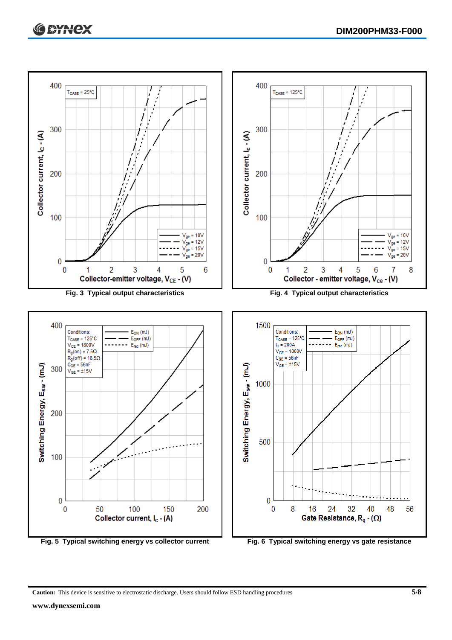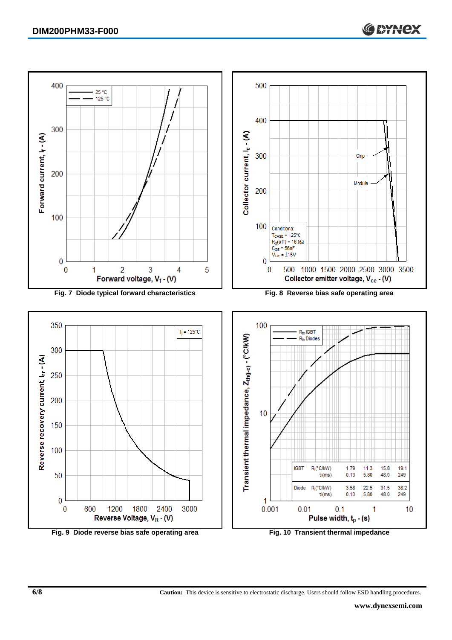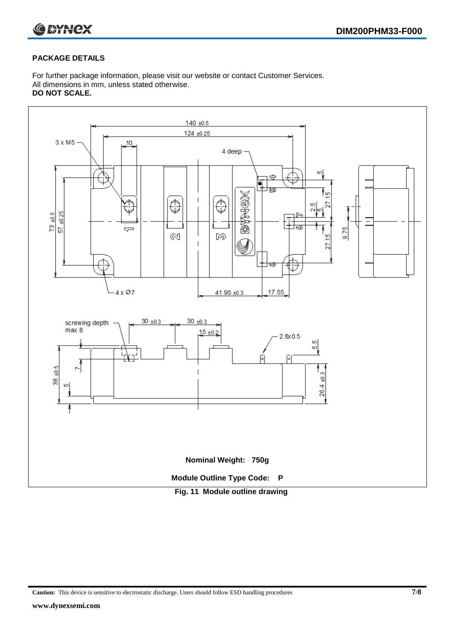

## **PACKAGE DETAILS**

For further package information, please visit our website or contact Customer Services. All dimensions in mm, unless stated otherwise. **DO NOT SCALE.**



**Caution:** This device is sensitive to electrostatic discharge. Users should follow ESD handling procedures **7/8**